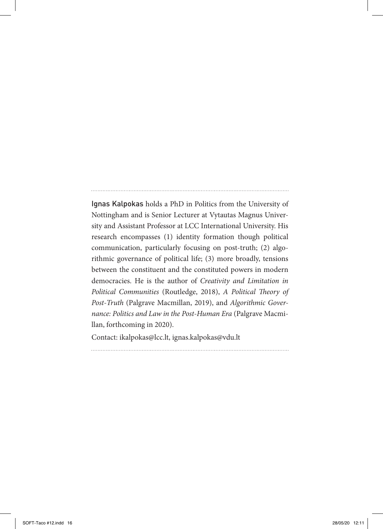Ignas Kalpokas holds a PhD in Politics from the University of Nottingham and is Senior Lecturer at Vytautas Magnus University and Assistant Professor at LCC International University. His research encompasses (1) identity formation though political communication, particularly focusing on post-truth; (2) algorithmic governance of political life; (3) more broadly, tensions between the constituent and the constituted powers in modern democracies. He is the author of *Creativity and Limitation in Political Communities* (Routledge, 2018), *A Political Theory of Post-Truth* (Palgrave Macmillan, 2019), and *Algorithmic Governance: Politics and Law in the Post-Human Era* (Palgrave Macmillan, forthcoming in 2020).

Contact: ikalpokas@lcc.lt, ignas.kalpokas@vdu.lt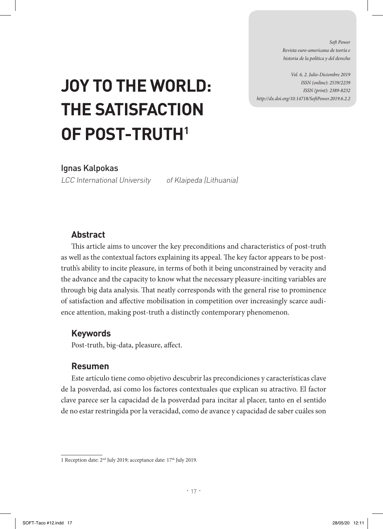*Soft Power Revista euro-americana de teoría e historia de la política y del derecho* 

*Vol. 6, 2. Julio-Diciembre 2019 ISSN (online): 2539/2239 ISSN (print): 2389-8232 http://dx.doi.org/10.14718/SoftPower.2019.6.2.2*

# **JOY TO THE WORLD: THE SATISFACTION OF POST-TRUTH1**

Ignas Kalpokas

LCC International University of Klaipeda (Lithuania)

## **Abstract**

This article aims to uncover the key preconditions and characteristics of post-truth as well as the contextual factors explaining its appeal. The key factor appears to be posttruth's ability to incite pleasure, in terms of both it being unconstrained by veracity and the advance and the capacity to know what the necessary pleasure-inciting variables are through big data analysis. That neatly corresponds with the general rise to prominence of satisfaction and affective mobilisation in competition over increasingly scarce audience attention, making post-truth a distinctly contemporary phenomenon.

## **Keywords**

Post-truth, big-data, pleasure, affect.

## **Resumen**

Este artículo tiene como objetivo descubrir las precondiciones y características clave de la posverdad, así como los factores contextuales que explican su atractivo. El factor clave parece ser la capacidad de la posverdad para incitar al placer, tanto en el sentido de no estar restringida por la veracidad, como de avance y capacidad de saber cuáles son

<sup>1</sup> Reception date: 2nd July 2019; acceptance date: 17th July 2019.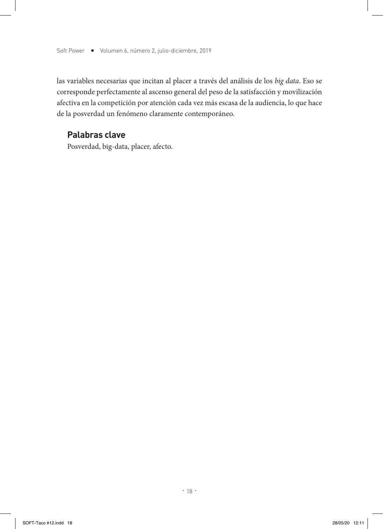las variables necesarias que incitan al placer a través del análisis de los *big data*. Eso se corresponde perfectamente al ascenso general del peso de la satisfacción y movilización afectiva en la competición por atención cada vez más escasa de la audiencia, lo que hace de la posverdad un fenómeno claramente contemporáneo.

#### **Palabras clave**

Posverdad, big-data, placer, afecto.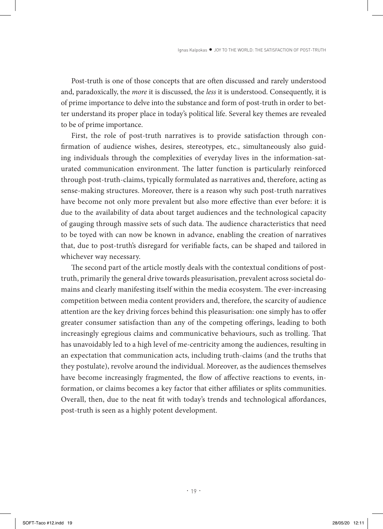Post-truth is one of those concepts that are often discussed and rarely understood and, paradoxically, the *more* it is discussed, the *less* it is understood. Consequently, it is of prime importance to delve into the substance and form of post-truth in order to better understand its proper place in today's political life. Several key themes are revealed to be of prime importance.

First, the role of post-truth narratives is to provide satisfaction through confirmation of audience wishes, desires, stereotypes, etc., simultaneously also guiding individuals through the complexities of everyday lives in the information-saturated communication environment. The latter function is particularly reinforced through post-truth-claims, typically formulated as narratives and, therefore, acting as sense-making structures. Moreover, there is a reason why such post-truth narratives have become not only more prevalent but also more effective than ever before: it is due to the availability of data about target audiences and the technological capacity of gauging through massive sets of such data. The audience characteristics that need to be toyed with can now be known in advance, enabling the creation of narratives that, due to post-truth's disregard for verifiable facts, can be shaped and tailored in whichever way necessary.

The second part of the article mostly deals with the contextual conditions of posttruth, primarily the general drive towards pleasurisation, prevalent across societal domains and clearly manifesting itself within the media ecosystem. The ever-increasing competition between media content providers and, therefore, the scarcity of audience attention are the key driving forces behind this pleasurisation: one simply has to offer greater consumer satisfaction than any of the competing offerings, leading to both increasingly egregious claims and communicative behaviours, such as trolling. That has unavoidably led to a high level of me-centricity among the audiences, resulting in an expectation that communication acts, including truth-claims (and the truths that they postulate), revolve around the individual. Moreover, as the audiences themselves have become increasingly fragmented, the flow of affective reactions to events, information, or claims becomes a key factor that either affiliates or splits communities. Overall, then, due to the neat fit with today's trends and technological affordances, post-truth is seen as a highly potent development.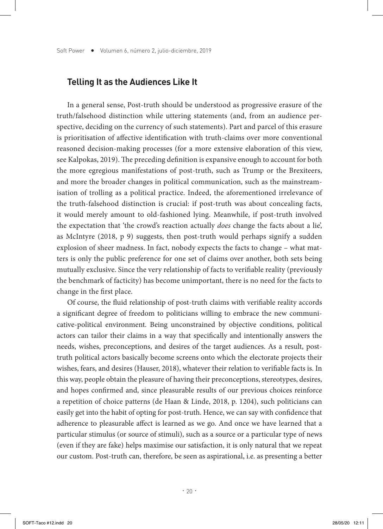#### **Telling It as the Audiences Like It**

In a general sense, Post-truth should be understood as progressive erasure of the truth/falsehood distinction while uttering statements (and, from an audience perspective, deciding on the currency of such statements). Part and parcel of this erasure is prioritisation of affective identification with truth-claims over more conventional reasoned decision-making processes (for a more extensive elaboration of this view, see Kalpokas, 2019). The preceding definition is expansive enough to account for both the more egregious manifestations of post-truth, such as Trump or the Brexiteers, and more the broader changes in political communication, such as the mainstreamisation of trolling as a political practice. Indeed, the aforementioned irrelevance of the truth-falsehood distinction is crucial: if post-truth was about concealing facts, it would merely amount to old-fashioned lying. Meanwhile, if post-truth involved the expectation that 'the crowd's reaction actually *does* change the facts about a lie', as McIntyre (2018, p 9) suggests, then post-truth would perhaps signify a sudden explosion of sheer madness. In fact, nobody expects the facts to change – what matters is only the public preference for one set of claims over another, both sets being mutually exclusive. Since the very relationship of facts to verifiable reality (previously the benchmark of facticity) has become unimportant, there is no need for the facts to change in the first place.

Of course, the fluid relationship of post-truth claims with verifiable reality accords a significant degree of freedom to politicians willing to embrace the new communicative-political environment. Being unconstrained by objective conditions, political actors can tailor their claims in a way that specifically and intentionally answers the needs, wishes, preconceptions, and desires of the target audiences. As a result, posttruth political actors basically become screens onto which the electorate projects their wishes, fears, and desires (Hauser, 2018), whatever their relation to verifiable facts is. In this way, people obtain the pleasure of having their preconceptions, stereotypes, desires, and hopes confirmed and, since pleasurable results of our previous choices reinforce a repetition of choice patterns (de Haan & Linde, 2018, p. 1204), such politicians can easily get into the habit of opting for post-truth. Hence, we can say with confidence that adherence to pleasurable affect is learned as we go. And once we have learned that a particular stimulus (or source of stimuli), such as a source or a particular type of news (even if they are fake) helps maximise our satisfaction, it is only natural that we repeat our custom. Post-truth can, therefore, be seen as aspirational, i.e. as presenting a better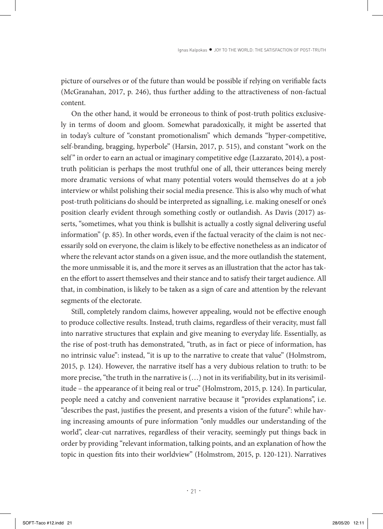picture of ourselves or of the future than would be possible if relying on verifiable facts (McGranahan, 2017, p. 246), thus further adding to the attractiveness of non-factual content.

On the other hand, it would be erroneous to think of post-truth politics exclusively in terms of doom and gloom. Somewhat paradoxically, it might be asserted that in today's culture of "constant promotionalism" which demands "hyper-competitive, self-branding, bragging, hyperbole" (Harsin, 2017, p. 515), and constant "work on the self" in order to earn an actual or imaginary competitive edge (Lazzarato, 2014), a posttruth politician is perhaps the most truthful one of all, their utterances being merely more dramatic versions of what many potential voters would themselves do at a job interview or whilst polishing their social media presence. This is also why much of what post-truth politicians do should be interpreted as signalling, i.e. making oneself or one's position clearly evident through something costly or outlandish. As Davis (2017) asserts, "sometimes, what you think is bullshit is actually a costly signal delivering useful information" (p. 85). In other words, even if the factual veracity of the claim is not necessarily sold on everyone, the claim is likely to be effective nonetheless as an indicator of where the relevant actor stands on a given issue, and the more outlandish the statement, the more unmissable it is, and the more it serves as an illustration that the actor has taken the effort to assert themselves and their stance and to satisfy their target audience. All that, in combination, is likely to be taken as a sign of care and attention by the relevant segments of the electorate.

Still, completely random claims, however appealing, would not be effective enough to produce collective results. Instead, truth claims, regardless of their veracity, must fall into narrative structures that explain and give meaning to everyday life. Essentially, as the rise of post-truth has demonstrated, "truth, as in fact or piece of information, has no intrinsic value": instead, "it is up to the narrative to create that value" (Holmstrom, 2015, p. 124). However, the narrative itself has a very dubious relation to truth: to be more precise, "the truth in the narrative is  $(...)$  not in its verifiability, but in its verisimilitude – the appearance of it being real or true" (Holmstrom, 2015, p. 124). In particular, people need a catchy and convenient narrative because it "provides explanations", i.e. "describes the past, justifies the present, and presents a vision of the future": while having increasing amounts of pure information "only muddles our understanding of the world", clear-cut narratives, regardless of their veracity, seemingly put things back in order by providing "relevant information, talking points, and an explanation of how the topic in question fits into their worldview" (Holmstrom, 2015, p. 120-121). Narratives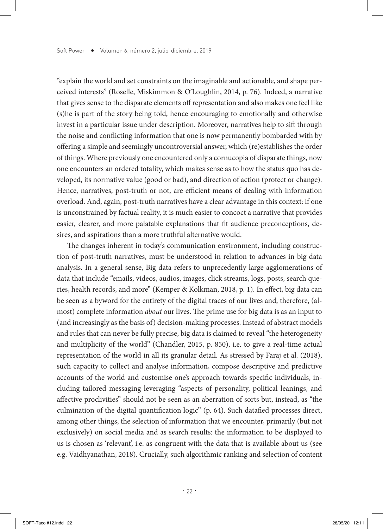"explain the world and set constraints on the imaginable and actionable, and shape perceived interests" (Roselle, Miskimmon & O'Loughlin, 2014, p. 76). Indeed, a narrative that gives sense to the disparate elements off representation and also makes one feel like (s)he is part of the story being told, hence encouraging to emotionally and otherwise invest in a particular issue under description. Moreover, narratives help to sift through the noise and conflicting information that one is now permanently bombarded with by offering a simple and seemingly uncontroversial answer, which (re)establishes the order of things. Where previously one encountered only a cornucopia of disparate things, now one encounters an ordered totality, which makes sense as to how the status quo has developed, its normative value (good or bad), and direction of action (protect or change). Hence, narratives, post-truth or not, are efficient means of dealing with information overload. And, again, post-truth narratives have a clear advantage in this context: if one is unconstrained by factual reality, it is much easier to concoct a narrative that provides easier, clearer, and more palatable explanations that fit audience preconceptions, desires, and aspirations than a more truthful alternative would.

The changes inherent in today's communication environment, including construction of post-truth narratives, must be understood in relation to advances in big data analysis. In a general sense, Big data refers to unprecedently large agglomerations of data that include "emails, videos, audios, images, click streams, logs, posts, search queries, health records, and more" (Kemper & Kolkman, 2018, p. 1). In effect, big data can be seen as a byword for the entirety of the digital traces of our lives and, therefore, (almost) complete information *about* our lives. The prime use for big data is as an input to (and increasingly as the basis of) decision-making processes. Instead of abstract models and rules that can never be fully precise, big data is claimed to reveal "the heterogeneity and multiplicity of the world" (Chandler, 2015, p. 850), i.e. to give a real-time actual representation of the world in all its granular detail. As stressed by Faraj et al. (2018), such capacity to collect and analyse information, compose descriptive and predictive accounts of the world and customise one's approach towards specific individuals, including tailored messaging leveraging "aspects of personality, political leanings, and affective proclivities" should not be seen as an aberration of sorts but, instead, as "the culmination of the digital quantification logic" (p. 64). Such datafied processes direct, among other things, the selection of information that we encounter, primarily (but not exclusively) on social media and as search results: the information to be displayed to us is chosen as 'relevant', i.e. as congruent with the data that is available about us (see e.g. Vaidhyanathan, 2018). Crucially, such algorithmic ranking and selection of content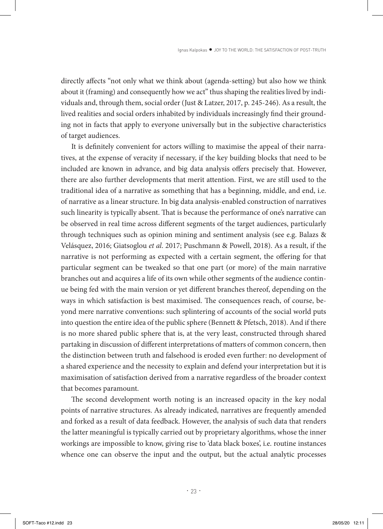directly affects "not only what we think about (agenda-setting) but also how we think about it (framing) and consequently how we act" thus shaping the realities lived by individuals and, through them, social order (Just & Latzer, 2017, p. 245-246). As a result, the lived realities and social orders inhabited by individuals increasingly find their grounding not in facts that apply to everyone universally but in the subjective characteristics of target audiences.

It is definitely convenient for actors willing to maximise the appeal of their narratives, at the expense of veracity if necessary, if the key building blocks that need to be included are known in advance, and big data analysis offers precisely that. However, there are also further developments that merit attention. First, we are still used to the traditional idea of a narrative as something that has a beginning, middle, and end, i.e. of narrative as a linear structure. In big data analysis-enabled construction of narratives such linearity is typically absent. That is because the performance of one's narrative can be observed in real time across different segments of the target audiences, particularly through techniques such as opinion mining and sentiment analysis (see e.g. Balazs & Velásquez, 2016; Giatsoglou *et al*. 2017; Puschmann & Powell, 2018). As a result, if the narrative is not performing as expected with a certain segment, the offering for that particular segment can be tweaked so that one part (or more) of the main narrative branches out and acquires a life of its own while other segments of the audience continue being fed with the main version or yet different branches thereof, depending on the ways in which satisfaction is best maximised. The consequences reach, of course, beyond mere narrative conventions: such splintering of accounts of the social world puts into question the entire idea of the public sphere (Bennett & Pfetsch, 2018). And if there is no more shared public sphere that is, at the very least, constructed through shared partaking in discussion of different interpretations of matters of common concern, then the distinction between truth and falsehood is eroded even further: no development of a shared experience and the necessity to explain and defend your interpretation but it is maximisation of satisfaction derived from a narrative regardless of the broader context that becomes paramount.

The second development worth noting is an increased opacity in the key nodal points of narrative structures. As already indicated, narratives are frequently amended and forked as a result of data feedback. However, the analysis of such data that renders the latter meaningful is typically carried out by proprietary algorithms, whose the inner workings are impossible to know, giving rise to 'data black boxes', i.e. routine instances whence one can observe the input and the output, but the actual analytic processes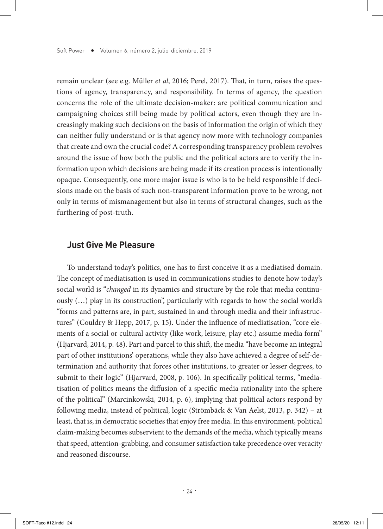remain unclear (see e.g. Müller *et al*, 2016; Perel, 2017). That, in turn, raises the questions of agency, transparency, and responsibility. In terms of agency, the question concerns the role of the ultimate decision-maker: are political communication and campaigning choices still being made by political actors, even though they are increasingly making such decisions on the basis of information the origin of which they can neither fully understand or is that agency now more with technology companies that create and own the crucial code? A corresponding transparency problem revolves around the issue of how both the public and the political actors are to verify the information upon which decisions are being made if its creation process is intentionally opaque. Consequently, one more major issue is who is to be held responsible if decisions made on the basis of such non-transparent information prove to be wrong, not only in terms of mismanagement but also in terms of structural changes, such as the furthering of post-truth.

#### **Just Give Me Pleasure**

To understand today's politics, one has to first conceive it as a mediatised domain. The concept of mediatisation is used in communications studies to denote how today's social world is "*changed* in its dynamics and structure by the role that media continuously (…) play in its construction", particularly with regards to how the social world's "forms and patterns are, in part, sustained in and through media and their infrastructures" (Couldry & Hepp, 2017, p. 15). Under the influence of mediatisation, "core elements of a social or cultural activity (like work, leisure, play etc.) assume media form" (Hjarvard, 2014, p. 48). Part and parcel to this shift, the media "have become an integral part of other institutions' operations, while they also have achieved a degree of self-determination and authority that forces other institutions, to greater or lesser degrees, to submit to their logic" (Hjarvard, 2008, p. 106). In specifically political terms, "mediatisation of politics means the diffusion of a specific media rationality into the sphere of the political" (Marcinkowski, 2014, p. 6), implying that political actors respond by following media, instead of political, logic (Strömbäck & Van Aelst, 2013, p. 342) – at least, that is, in democratic societies that enjoy free media. In this environment, political claim-making becomes subservient to the demands of the media, which typically means that speed, attention-grabbing, and consumer satisfaction take precedence over veracity and reasoned discourse.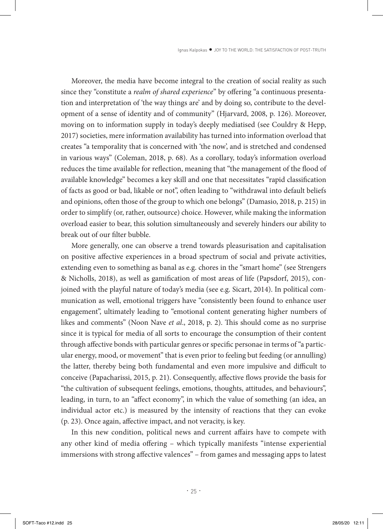Moreover, the media have become integral to the creation of social reality as such since they "constitute a *realm of shared experience*" by offering "a continuous presentation and interpretation of 'the way things are' and by doing so, contribute to the development of a sense of identity and of community" (Hjarvard, 2008, p. 126). Moreover, moving on to information supply in today's deeply mediatised (see Couldry & Hepp, 2017) societies, mere information availability has turned into information overload that creates "a temporality that is concerned with 'the now', and is stretched and condensed in various ways" (Coleman, 2018, p. 68). As a corollary, today's information overload reduces the time available for reflection, meaning that "the management of the flood of available knowledge" becomes a key skill and one that necessitates "rapid classification of facts as good or bad, likable or not", often leading to "withdrawal into default beliefs and opinions, often those of the group to which one belongs" (Damasio, 2018, p. 215) in order to simplify (or, rather, outsource) choice. However, while making the information overload easier to bear, this solution simultaneously and severely hinders our ability to break out of our filter bubble.

More generally, one can observe a trend towards pleasurisation and capitalisation on positive affective experiences in a broad spectrum of social and private activities, extending even to something as banal as e.g. chores in the "smart home" (see Strengers & Nicholls, 2018), as well as gamification of most areas of life (Papsdorf, 2015), conjoined with the playful nature of today's media (see e.g. Sicart, 2014). In political communication as well, emotional triggers have "consistently been found to enhance user engagement", ultimately leading to "emotional content generating higher numbers of likes and comments" (Noon Nave *et al*., 2018, p. 2). This should come as no surprise since it is typical for media of all sorts to encourage the consumption of their content through affective bonds with particular genres or specific personae in terms of "a particular energy, mood, or movement" that is even prior to feeling but feeding (or annulling) the latter, thereby being both fundamental and even more impulsive and difficult to conceive (Papacharissi, 2015, p. 21). Consequently, affective flows provide the basis for "the cultivation of subsequent feelings, emotions, thoughts, attitudes, and behaviours", leading, in turn, to an "affect economy", in which the value of something (an idea, an individual actor etc.) is measured by the intensity of reactions that they can evoke (p. 23). Once again, affective impact, and not veracity, is key.

In this new condition, political news and current affairs have to compete with any other kind of media offering – which typically manifests "intense experiential immersions with strong affective valences" – from games and messaging apps to latest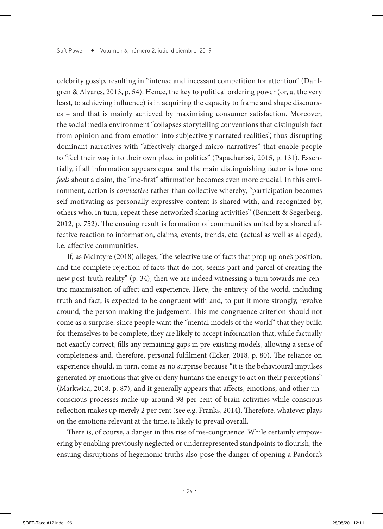celebrity gossip, resulting in "intense and incessant competition for attention" (Dahlgren & Alvares, 2013, p. 54). Hence, the key to political ordering power (or, at the very least, to achieving influence) is in acquiring the capacity to frame and shape discourses – and that is mainly achieved by maximising consumer satisfaction. Moreover, the social media environment "collapses storytelling conventions that distinguish fact from opinion and from emotion into subjectively narrated realities", thus disrupting dominant narratives with "affectively charged micro-narratives" that enable people to "feel their way into their own place in politics" (Papacharissi, 2015, p. 131). Essentially, if all information appears equal and the main distinguishing factor is how one *feels* about a claim, the "me-first" affirmation becomes even more crucial. In this environment, action is *connective* rather than collective whereby, "participation becomes self-motivating as personally expressive content is shared with, and recognized by, others who, in turn, repeat these networked sharing activities" (Bennett & Segerberg, 2012, p. 752). The ensuing result is formation of communities united by a shared affective reaction to information, claims, events, trends, etc. (actual as well as alleged), i.e. affective communities.

If, as McIntyre (2018) alleges, "the selective use of facts that prop up one's position, and the complete rejection of facts that do not, seems part and parcel of creating the new post-truth reality" (p. 34), then we are indeed witnessing a turn towards me-centric maximisation of affect and experience. Here, the entirety of the world, including truth and fact, is expected to be congruent with and, to put it more strongly, revolve around, the person making the judgement. This me-congruence criterion should not come as a surprise: since people want the "mental models of the world" that they build for themselves to be complete, they are likely to accept information that, while factually not exactly correct, fills any remaining gaps in pre-existing models, allowing a sense of completeness and, therefore, personal fulfilment (Ecker, 2018, p. 80). The reliance on experience should, in turn, come as no surprise because "it is the behavioural impulses generated by emotions that give or deny humans the energy to act on their perceptions" (Markwica, 2018, p. 87), and it generally appears that affects, emotions, and other unconscious processes make up around 98 per cent of brain activities while conscious reflection makes up merely 2 per cent (see e.g. Franks, 2014). Therefore, whatever plays on the emotions relevant at the time, is likely to prevail overall.

There is, of course, a danger in this rise of me-congruence. While certainly empowering by enabling previously neglected or underrepresented standpoints to flourish, the ensuing disruptions of hegemonic truths also pose the danger of opening a Pandora's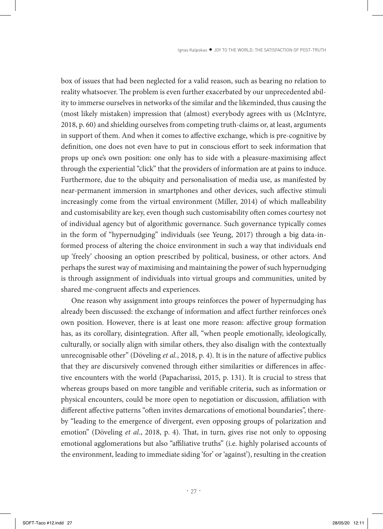box of issues that had been neglected for a valid reason, such as bearing no relation to reality whatsoever. The problem is even further exacerbated by our unprecedented ability to immerse ourselves in networks of the similar and the likeminded, thus causing the (most likely mistaken) impression that (almost) everybody agrees with us (McIntyre, 2018, p. 60) and shielding ourselves from competing truth-claims or, at least, arguments in support of them. And when it comes to affective exchange, which is pre-cognitive by definition, one does not even have to put in conscious effort to seek information that props up one's own position: one only has to side with a pleasure-maximising affect through the experiential "click" that the providers of information are at pains to induce. Furthermore, due to the ubiquity and personalisation of media use, as manifested by near-permanent immersion in smartphones and other devices, such affective stimuli increasingly come from the virtual environment (Miller, 2014) of which malleability and customisability are key, even though such customisability often comes courtesy not of individual agency but of algorithmic governance. Such governance typically comes in the form of "hypernudging" individuals (see Yeung, 2017) through a big data-informed process of altering the choice environment in such a way that individuals end up 'freely' choosing an option prescribed by political, business, or other actors. And perhaps the surest way of maximising and maintaining the power of such hypernudging is through assignment of individuals into virtual groups and communities, united by shared me-congruent affects and experiences.

One reason why assignment into groups reinforces the power of hypernudging has already been discussed: the exchange of information and affect further reinforces one's own position. However, there is at least one more reason: affective group formation has, as its corollary, disintegration. After all, "when people emotionally, ideologically, culturally, or socially align with similar others, they also disalign with the contextually unrecognisable other" (Döveling *et al.*, 2018, p. 4). It is in the nature of affective publics that they are discursively convened through either similarities or differences in affective encounters with the world (Papacharissi, 2015, p. 131). It is crucial to stress that whereas groups based on more tangible and verifiable criteria, such as information or physical encounters, could be more open to negotiation or discussion, affiliation with different affective patterns "often invites demarcations of emotional boundaries", thereby "leading to the emergence of divergent, even opposing groups of polarization and emotion" (Döveling *et al*., 2018, p. 4). That, in turn, gives rise not only to opposing emotional agglomerations but also "affiliative truths" (i.e. highly polarised accounts of the environment, leading to immediate siding 'for' or 'against'), resulting in the creation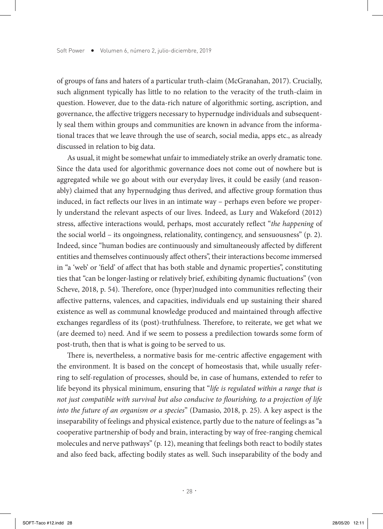of groups of fans and haters of a particular truth-claim (McGranahan, 2017). Crucially, such alignment typically has little to no relation to the veracity of the truth-claim in question. However, due to the data-rich nature of algorithmic sorting, ascription, and governance, the affective triggers necessary to hypernudge individuals and subsequently seal them within groups and communities are known in advance from the informational traces that we leave through the use of search, social media, apps etc., as already discussed in relation to big data.

As usual, it might be somewhat unfair to immediately strike an overly dramatic tone. Since the data used for algorithmic governance does not come out of nowhere but is aggregated while we go about with our everyday lives, it could be easily (and reasonably) claimed that any hypernudging thus derived, and affective group formation thus induced, in fact reflects our lives in an intimate way – perhaps even before we properly understand the relevant aspects of our lives. Indeed, as Lury and Wakeford (2012) stress, affective interactions would, perhaps, most accurately reflect "*the happening* of the social world – its ongoingness, relationality, contingency, and sensuousness" (p. 2). Indeed, since "human bodies are continuously and simultaneously affected by different entities and themselves continuously affect others", their interactions become immersed in "a 'web' or 'field' of affect that has both stable and dynamic properties", constituting ties that "can be longer-lasting or relatively brief, exhibiting dynamic fluctuations" (von Scheve, 2018, p. 54). Therefore, once (hyper)nudged into communities reflecting their affective patterns, valences, and capacities, individuals end up sustaining their shared existence as well as communal knowledge produced and maintained through affective exchanges regardless of its (post)-truthfulness. Therefore, to reiterate, we get what we (are deemed to) need. And if we seem to possess a predilection towards some form of post-truth, then that is what is going to be served to us.

There is, nevertheless, a normative basis for me-centric affective engagement with the environment. It is based on the concept of homeostasis that, while usually referring to self-regulation of processes, should be, in case of humans, extended to refer to life beyond its physical minimum, ensuring that "*life is regulated within a range that is not just compatible with survival but also conducive to flourishing, to a projection of life into the future of an organism or a species*" (Damasio, 2018, p. 25). A key aspect is the inseparability of feelings and physical existence, partly due to the nature of feelings as "a cooperative partnership of body and brain, interacting by way of free-ranging chemical molecules and nerve pathways" (p. 12), meaning that feelings both react to bodily states and also feed back, affecting bodily states as well. Such inseparability of the body and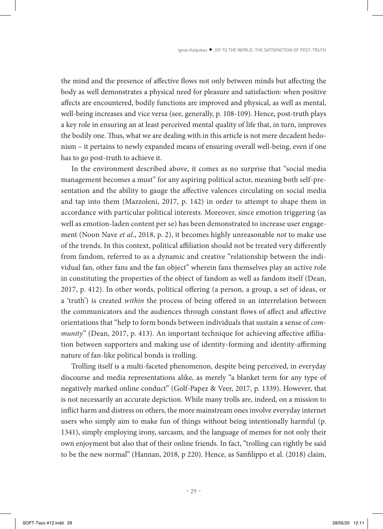the mind and the presence of affective flows not only between minds but affecting the body as well demonstrates a physical need for pleasure and satisfaction: when positive affects are encountered, bodily functions are improved and physical, as well as mental, well-being increases and vice versa (see, generally, p. 108-109). Hence, post-truth plays a key role in ensuring an at least perceived mental quality of life that, in turn, improves the bodily one. Thus, what we are dealing with in this article is not mere decadent hedonism – it pertains to newly expanded means of ensuring overall well-being, even if one has to go post-truth to achieve it.

In the environment described above, it comes as no surprise that "social media management becomes a must" for any aspiring political actor, meaning both self-presentation and the ability to gauge the affective valences circulating on social media and tap into them (Mazzoleni, 2017, p. 142) in order to attempt to shape them in accordance with particular political interests. Moreover, since emotion triggering (as well as emotion-laden content per se) has been demonstrated to increase user engagement (Noon Nave *et al*., 2018, p. 2), it becomes highly unreasonable *not* to make use of the trends. In this context, political affiliation should not be treated very differently from fandom, referred to as a dynamic and creative "relationship between the individual fan, other fans and the fan object" wherein fans themselves play an active role in constituting the properties of the object of fandom as well as fandom itself (Dean, 2017, p. 412). In other words, political offering (a person, a group, a set of ideas, or a 'truth') is created *within* the process of being offered in an interrelation between the communicators and the audiences through constant flows of affect and affective orientations that "help to form bonds between individuals that sustain a sense of *community*" (Dean, 2017, p. 413). An important technique for achieving affective affiliation between supporters and making use of identity-forming and identity-affirming nature of fan-like political bonds is trolling.

Trolling itself is a multi-faceted phenomenon, despite being perceived, in everyday discourse and media representations alike, as merely "a blanket term for any type of negatively marked online conduct" (Golf-Papez & Veer, 2017, p. 1339). However, that is not necessarily an accurate depiction. While many trolls are, indeed, on a mission to inflict harm and distress on others, the more mainstream ones involve everyday internet users who simply aim to make fun of things without being intentionally harmful (p. 1341), simply employing irony, sarcasm, and the language of memes for not only their own enjoyment but also that of their online friends. In fact, "trolling can rightly be said to be the new normal" (Hannan, 2018, p 220). Hence, as Sanfilippo et al. (2018) claim,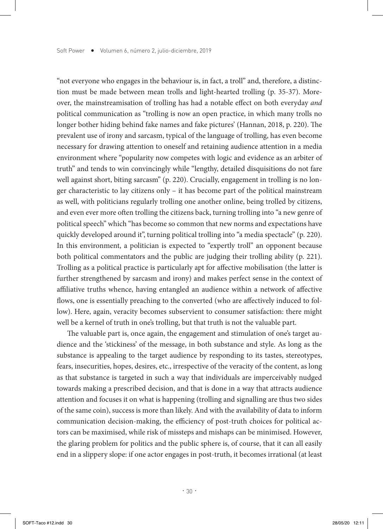"not everyone who engages in the behaviour is, in fact, a troll" and, therefore, a distinction must be made between mean trolls and light-hearted trolling (p. 35-37). Moreover, the mainstreamisation of trolling has had a notable effect on both everyday *and* political communication as "trolling is now an open practice, in which many trolls no longer bother hiding behind fake names and fake pictures' (Hannan, 2018, p. 220). The prevalent use of irony and sarcasm, typical of the language of trolling, has even become necessary for drawing attention to oneself and retaining audience attention in a media environment where "popularity now competes with logic and evidence as an arbiter of truth" and tends to win convincingly while "lengthy, detailed disquisitions do not fare well against short, biting sarcasm" (p. 220). Crucially, engagement in trolling is no longer characteristic to lay citizens only – it has become part of the political mainstream as well, with politicians regularly trolling one another online, being trolled by citizens, and even ever more often trolling the citizens back, turning trolling into "a new genre of political speech" which "has become so common that new norms and expectations have quickly developed around it", turning political trolling into "a media spectacle" (p. 220). In this environment, a politician is expected to "expertly troll" an opponent because both political commentators and the public are judging their trolling ability (p. 221). Trolling as a political practice is particularly apt for affective mobilisation (the latter is further strengthened by sarcasm and irony) and makes perfect sense in the context of affiliative truths whence, having entangled an audience within a network of affective flows, one is essentially preaching to the converted (who are affectively induced to follow). Here, again, veracity becomes subservient to consumer satisfaction: there might well be a kernel of truth in one's trolling, but that truth is not the valuable part.

The valuable part is, once again, the engagement and stimulation of one's target audience and the 'stickiness' of the message, in both substance and style. As long as the substance is appealing to the target audience by responding to its tastes, stereotypes, fears, insecurities, hopes, desires, etc., irrespective of the veracity of the content, as long as that substance is targeted in such a way that individuals are imperceivably nudged towards making a prescribed decision, and that is done in a way that attracts audience attention and focuses it on what is happening (trolling and signalling are thus two sides of the same coin), success is more than likely. And with the availability of data to inform communication decision-making, the efficiency of post-truth choices for political actors can be maximised, while risk of missteps and mishaps can be minimised. However, the glaring problem for politics and the public sphere is, of course, that it can all easily end in a slippery slope: if one actor engages in post-truth, it becomes irrational (at least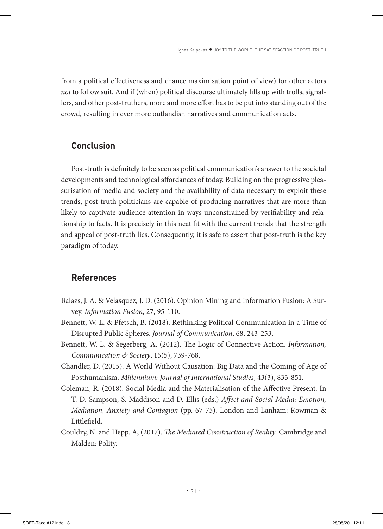from a political effectiveness and chance maximisation point of view) for other actors *not* to follow suit. And if (when) political discourse ultimately fills up with trolls, signallers, and other post-truthers, more and more effort has to be put into standing out of the crowd, resulting in ever more outlandish narratives and communication acts.

#### **Conclusion**

Post-truth is definitely to be seen as political communication's answer to the societal developments and technological affordances of today. Building on the progressive pleasurisation of media and society and the availability of data necessary to exploit these trends, post-truth politicians are capable of producing narratives that are more than likely to captivate audience attention in ways unconstrained by verifiability and relationship to facts. It is precisely in this neat fit with the current trends that the strength and appeal of post-truth lies. Consequently, it is safe to assert that post-truth is the key paradigm of today.

#### **References**

- Balazs, J. A. & Velásquez, J. D. (2016). Opinion Mining and Information Fusion: A Survey. *Information Fusion*, 27, 95-110.
- Bennett, W. L. & Pfetsch, B. (2018). Rethinking Political Communication in a Time of Disrupted Public Spheres. *Journal of Communication*, 68, 243-253.
- Bennett, W. L. & Segerberg, A. (2012). The Logic of Connective Action. *Information, Communication & Society*, 15(5), 739-768.
- Chandler, D. (2015). A World Without Causation: Big Data and the Coming of Age of Posthumanism. *Millennium: Journal of International Studies*, 43(3), 833-851.
- Coleman, R. (2018). Social Media and the Materialisation of the Affective Present. In T. D. Sampson, S. Maddison and D. Ellis (eds.) *Affect and Social Media: Emotion, Mediation, Anxiety and Contagion* (pp. 67-75). London and Lanham: Rowman & Littlefield.
- Couldry, N. and Hepp. A, (2017). *The Mediated Construction of Reality*. Cambridge and Malden: Polity.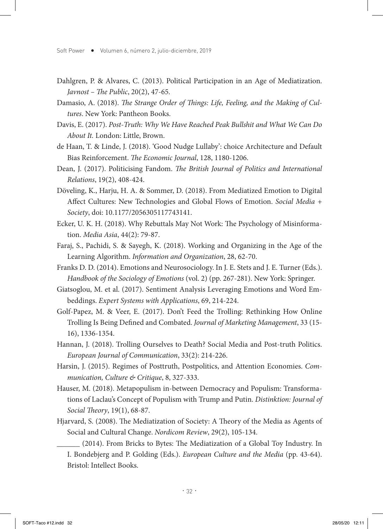- Dahlgren, P. & Alvares, C. (2013). Political Participation in an Age of Mediatization. *Javnost – The Public*, 20(2), 47-65.
- Damasio, A. (2018). *The Strange Order of Things: Life, Feeling, and the Making of Cultures*. New York: Pantheon Books.
- Davis, E. (2017). *Post-Truth: Why We Have Reached Peak Bullshit and What We Can Do About It.* London: Little, Brown.
- de Haan, T. & Linde, J. (2018). 'Good Nudge Lullaby': choice Architecture and Default Bias Reinforcement. *The Economic Journal*, 128, 1180-1206.
- Dean, J. (2017). Politicising Fandom. *The British Journal of Politics and International Relations*, 19(2), 408-424.
- Döveling, K., Harju, H. A. & Sommer, D. (2018). From Mediatized Emotion to Digital Affect Cultures: New Technologies and Global Flows of Emotion. *Social Media + Society*, doi: 10.1177/2056305117743141.
- Ecker, U. K. H. (2018). Why Rebuttals May Not Work: The Psychology of Misinformation. *Media Asia*, 44(2): 79-87.
- Faraj, S., Pachidi, S. & Sayegh, K. (2018). Working and Organizing in the Age of the Learning Algorithm. *Information and Organization*, 28, 62-70.
- Franks D. D. (2014). Emotions and Neurosociology. In J. E. Stets and J. E. Turner (Eds.). *Handbook of the Sociology of Emotions* (vol. 2) (pp. 267-281). New York: Springer.
- Giatsoglou, M. et al. (2017). Sentiment Analysis Leveraging Emotions and Word Embeddings. *Expert Systems with Applications*, 69, 214-224.
- Golf-Papez, M. & Veer, E. (2017). Don't Feed the Trolling: Rethinking How Online Trolling Is Being Defined and Combated. *Journal of Marketing Management*, 33 (15- 16), 1336-1354.
- Hannan, J. (2018). Trolling Ourselves to Death? Social Media and Post-truth Politics. *European Journal of Communication*, 33(2): 214-226.
- Harsin, J. (2015). Regimes of Posttruth, Postpolitics, and Attention Economies. *Communication, Culture & Critique*, 8, 327-333.
- Hauser, M. (2018). Metapopulism in-between Democracy and Populism: Transformations of Laclau's Concept of Populism with Trump and Putin. *Distinktion: Journal of Social Theory*, 19(1), 68-87.
- Hjarvard, S. (2008). The Mediatization of Society: A Theory of the Media as Agents of Social and Cultural Change. *Nordicom Review*, 29(2), 105-134.

\_\_\_\_\_\_ (2014). From Bricks to Bytes: The Mediatization of a Global Toy Industry. In I. Bondebjerg and P. Golding (Eds.). *European Culture and the Media* (pp. 43-64). Bristol: Intellect Books.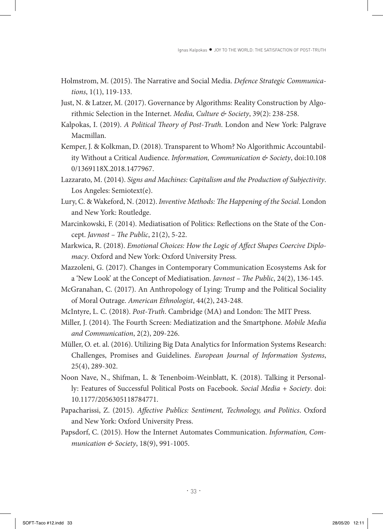- Holmstrom, M. (2015). The Narrative and Social Media. *Defence Strategic Communications*, 1(1), 119-133.
- Just, N. & Latzer, M. (2017). Governance by Algorithms: Reality Construction by Algorithmic Selection in the Internet. *Media, Culture & Society*, 39(2): 238-258.
- Kalpokas, I. (2019). *A Political Theory of Post-Truth*. London and New York: Palgrave Macmillan.
- Kemper, J. & Kolkman, D. (2018). Transparent to Whom? No Algorithmic Accountability Without a Critical Audience. *Information, Communication & Society*, doi:10.108 0/1369118X.2018.1477967.
- Lazzarato, M. (2014). *Signs and Machines: Capitalism and the Production of Subjectivity*. Los Angeles: Semiotext(e).
- Lury, C. & Wakeford, N. (2012). *Inventive Methods: The Happening of the Social*. London and New York: Routledge.
- Marcinkowski, F. (2014). Mediatisation of Politics: Reflections on the State of the Concept. *Javnost – The Public*, 21(2), 5-22.
- Markwica, R. (2018). *Emotional Choices: How the Logic of Affect Shapes Coercive Diplomacy*. Oxford and New York: Oxford University Press.
- Mazzoleni, G. (2017). Changes in Contemporary Communication Ecosystems Ask for a 'New Look' at the Concept of Mediatisation. *Javnost – The Public*, 24(2), 136-145.
- McGranahan, C. (2017). An Anthropology of Lying: Trump and the Political Sociality of Moral Outrage. *American Ethnologist*, 44(2), 243-248.
- McIntyre, L. C. (2018). *Post-Truth*. Cambridge (MA) and London: The MIT Press.
- Miller, J. (2014). The Fourth Screen: Mediatization and the Smartphone. *Mobile Media and Communication*, 2(2), 209-226.
- Müller, O. et. al. (2016). Utilizing Big Data Analytics for Information Systems Research: Challenges, Promises and Guidelines. *European Journal of Information Systems*, 25(4), 289-302.
- Noon Nave, N., Shifman, L. & Tenenboim-Weinblatt, K. (2018). Talking it Personally: Features of Successful Political Posts on Facebook. *Social Media + Society*. doi: 10.1177/2056305118784771.
- Papacharissi, Z. (2015). *Affective Publics: Sentiment, Technology, and Politics*. Oxford and New York: Oxford University Press.
- Papsdorf, C. (2015). How the Internet Automates Communication. *Information, Communication & Society*, 18(9), 991-1005.